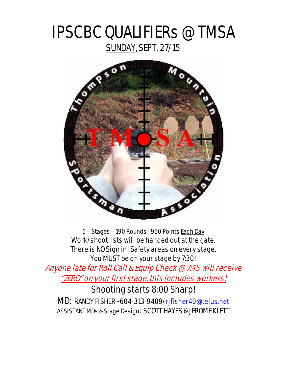# IPSCBC QUALIFIERs @ TMSA SUNDAY, SEPT. 27/15



6 – Stages – 190 Rounds - 950 Points Each Day Work/shoot lists will be handed out at the gate. There is NO Sign in! Safety areas on every stage. You MUST be on your stage by 7:30!

Anyone late for Roll Call & Equip Check @ 7:45 will receive "ZERO" on your first stage, this includes workers!

### Shooting starts 8:00 Sharp!

MD: RANDY FISHER -604-313-9409[/rjfisher40@telus.net](mailto:rjfisher40@telus.net) ASSISTANT MDs & Stage Design: SCOTT HAYES & JEROME KLETT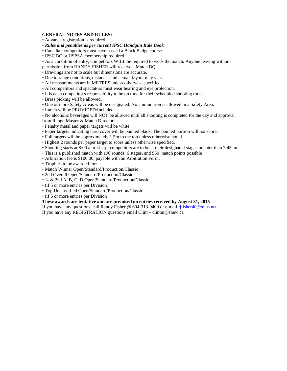#### **GENERAL NOTES AND RULES:**

- Advance registration is required.
- *Rules and penalties as per current IPSC Handgun Rule Book*
- Canadian competitors must have passed a Black Badge course.
- IPSC BC or USPSA membership required.
- As a condition of entry, competitors WILL be required to work the match. Anyone leaving without permission from RANDY FISHER will receive a Match DQ.
- Drawings are not to scale but dimensions are accurate.
- Due to range conditions, distances and actual layout may vary.
- All measurements are in METRES unless otherwise specified.
- All competitors and spectators must wear hearing and eye protection.
- It is each competitor's responsibility to be on time for their scheduled shooting times.
- Brass picking will be allowed.
- One or more Safety Areas will be designated. No ammunition is allowed in a Safety Area.
- Lunch will be PROVIDED/Included.

• No alcoholic beverages will NOT be allowed until all shooting is completed for the day and approval from Range Master & Match Director.

- Penalty metal and paper targets will be white.
- Paper targets indicating hard cover will be painted black. The painted portion will not score.
- Full targets will be approximately 1.5m to the top unless otherwise noted.
- Highest 2 rounds per paper target to score unless otherwise specified.
- Shooting starts at 8:00 a.m. sharp, competitors are to be at their designated stages no later than 7:45 am.
- This is a published match with 190 rounds, 6 stages, and 950 match points possible
- Arbitration fee is \$100.00, payable with an Arbitration Form.
- Trophies to be awarded for:
- Match Winner Open/Standard/Production/Classic
- 2nd Overall Open/Standard/Production/Classic
- 1st & 2nd A, B, C, D Open/Standard/Production/Classic
- (if 5 or more entries per Division)
- Top Unclassified Open/Standard/Production/Classic
- (if 5 or more entries per Division)

#### **These awards are tentative and are premised on entries received by August 31, 2015**

- If you have any questions, call Randy Fisher @ 604-313-9409 or e-mail [rjfisher40@telus.net](mailto:rjfisher40@telus.net)
- If you have any REGISTRATION questions email Clint clintm@shaw.ca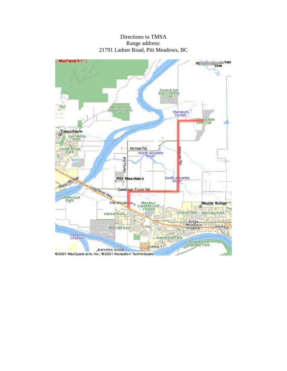Directions to TMSA Range address: 21791 Ladner Road, Pitt Meadows, BC

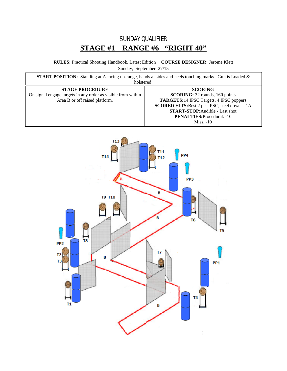### SUNDAY QUALIFIER **STAGE #1 RANGE #6 "RIGHT 40"**

**RULES:** Practical Shooting Handbook, Latest Edition **COURSE DESIGNER:** Jerome Klett Sunday, September 27/15

| <b>START POSITION:</b> Standing at A facing up-range, hands at sides and heels touching marks. Gun is Loaded &<br>holstered. |                                                                                                                                                                                                                                                                    |  |
|------------------------------------------------------------------------------------------------------------------------------|--------------------------------------------------------------------------------------------------------------------------------------------------------------------------------------------------------------------------------------------------------------------|--|
| <b>STAGE PROCEDURE</b><br>On signal engage targets in any order as visible from within<br>Area B or off raised platform.     | <b>SCORING</b><br><b>SCORING:</b> 32 rounds, 160 points<br><b>TARGETS:</b> 14 IPSC Targets, 4 IPSC poppers<br><b>SCORED HITS:</b> Best 2 per IPSC, steel down $= 1A$<br><b>START-STOP:</b> Audible - Last shot<br><b>PENALTIES:</b> Procedural. -10<br>$Miss. -10$ |  |

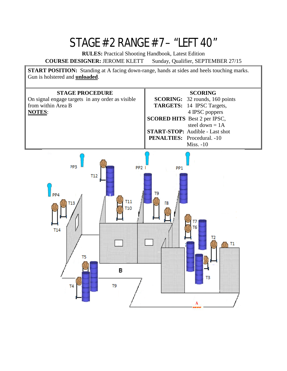## STAGE #2 RANGE #7 – "LEFT 40"

**RULES:** Practical Shooting Handbook, Latest Edition

**COURSE DESIGNER:** JEROME KLETT Sunday, Qualifier, SEPTEMBER 27/15

**START POSITION:** Standing at A facing down-range, hands at sides and heels touching marks. Gun is holstered and **unloaded**. **STAGE PROCEDURE SCORING** On signal engage targets in any order as visible **SCORING:** 32 rounds, 160 points from within Area B **TARGETS:** 14 IPSC Targets, **NOTES**: 4 IPSC poppers **SCORED HITS** Best 2 per IPSC, steel down  $= 1A$ **START-STOP:** Audible - Last shot **PENALTIES:** Procedural. -10 Miss. -10PP3  $PP21$ PP<sub>1</sub>  $T12$ PP4 T<sub>9</sub> **T11** T13 Г8 **T10** T6  $T14$ T<sub>2</sub>  $T1$ T<sub>5</sub> в T3

A

T9

T<sub>4</sub>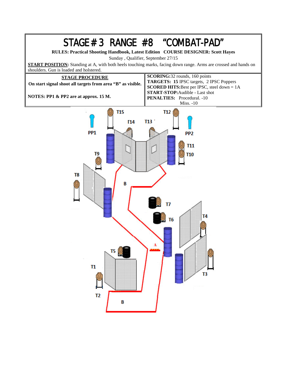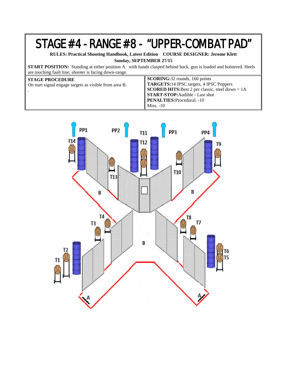### STAGE #4 - RANGE #8 - "UPPER-COMBAT PAD"

**RULES: Practical Shooting Handbook, Latest Edition COURSE DESIGNER: Jerome Klett**

**Sunday, SEPTEMBER 27/15**

**START POSITION:** Standing at either position A with hands clasped behind back, gun is loaded and holstered. Heels are touching fault line; shooter is facing down-range.

| $\parallel$ <b>SCORING:</b> 32 rounds, 160 points<br>TARGETS:14 IPSC targets, 4 IPSC Poppers<br><b>SCORED HITS:</b> Best 2 per classic, steel down = $1A$<br>START-STOP: Audible - Last shot<br><b>PENALTIES: Procedural.</b> -10<br>$Miss. -10$ |
|--------------------------------------------------------------------------------------------------------------------------------------------------------------------------------------------------------------------------------------------------|
|                                                                                                                                                                                                                                                  |
|                                                                                                                                                                                                                                                  |

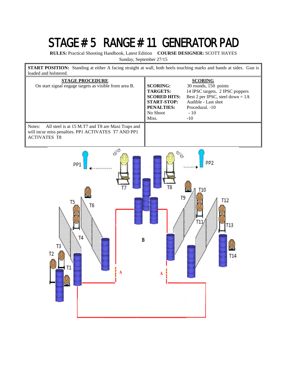## STAGE # 5 RANGE # 11 GENERATOR PAD

**RULES:** Practical Shooting Handbook, Latest Edition **COURSE DESIGNER:** SCOTT HAYES

Sunday, September 27/15

**START POSITION:** Standing at either A facing straight at wall, both heels touching marks and hands at sides. Gun is loaded and holstered.

| <b>STAGE PROCEDURE</b><br>On start signal engage targets as visible from area B.                                                          | <b>SCORING:</b><br><b>TARGETS:</b><br><b>SCORED HITS:</b><br><b>START-STOP:</b><br><b>PENALTIES:</b><br>No Shoot<br>Miss. | <b>SCORING</b><br>30 rounds, 150 points<br>14 IPSC targets, 2 IPSC poppers<br>Best 2 per IPSC, steel down = $1A$<br>Audible - Last shot<br>Procedural. -10<br>$-10$<br>$-10$ |
|-------------------------------------------------------------------------------------------------------------------------------------------|---------------------------------------------------------------------------------------------------------------------------|------------------------------------------------------------------------------------------------------------------------------------------------------------------------------|
| Notes:<br>All steel is at 15 M.T7 and T8 are Maxi Traps and<br>will incur miss penalties. PP1 ACTIVATES T7 AND PP1<br><b>ACTIVATES T8</b> |                                                                                                                           |                                                                                                                                                                              |